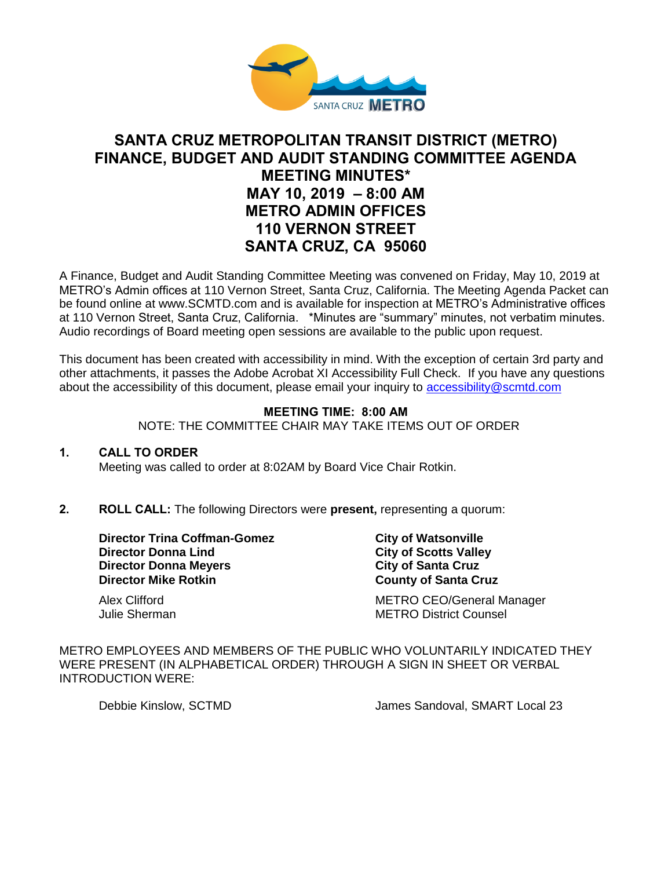

# **SANTA CRUZ METROPOLITAN TRANSIT DISTRICT (METRO) FINANCE, BUDGET AND AUDIT STANDING COMMITTEE AGENDA MEETING MINUTES\* MAY 10, 2019 – 8:00 AM METRO ADMIN OFFICES 110 VERNON STREET SANTA CRUZ, CA 95060**

A Finance, Budget and Audit Standing Committee Meeting was convened on Friday, May 10, 2019 at METRO's Admin offices at 110 Vernon Street, Santa Cruz, California. The Meeting Agenda Packet can be found online at www.SCMTD.com and is available for inspection at METRO's Administrative offices at 110 Vernon Street, Santa Cruz, California. \*Minutes are "summary" minutes, not verbatim minutes. Audio recordings of Board meeting open sessions are available to the public upon request.

This document has been created with accessibility in mind. With the exception of certain 3rd party and other attachments, it passes the Adobe Acrobat XI Accessibility Full Check. If you have any questions about the accessibility of this document, please email your inquiry to [accessibility@scmtd.com](mailto:accessibility@scmtd.com)

## **MEETING TIME: 8:00 AM**

NOTE: THE COMMITTEE CHAIR MAY TAKE ITEMS OUT OF ORDER

#### **1. CALL TO ORDER**

Meeting was called to order at 8:02AM by Board Vice Chair Rotkin.

## **2. ROLL CALL:** The following Directors were **present,** representing a quorum:

**Director Trina Coffman-Gomez City of Watsonville Director Donna Lind City of Scotts Valley Director Donna Meyers City of Santa Cruz Director Mike Rotkin COUNTY COUNTY OF Santa Cruz** 

Alex Clifford **METRO CEO/General Manager** METRO CEO Julie Sherman METRO District Counsel

METRO EMPLOYEES AND MEMBERS OF THE PUBLIC WHO VOLUNTARILY INDICATED THEY WERE PRESENT (IN ALPHABETICAL ORDER) THROUGH A SIGN IN SHEET OR VERBAL INTRODUCTION WERE:

Debbie Kinslow, SCTMD James Sandoval, SMART Local 23